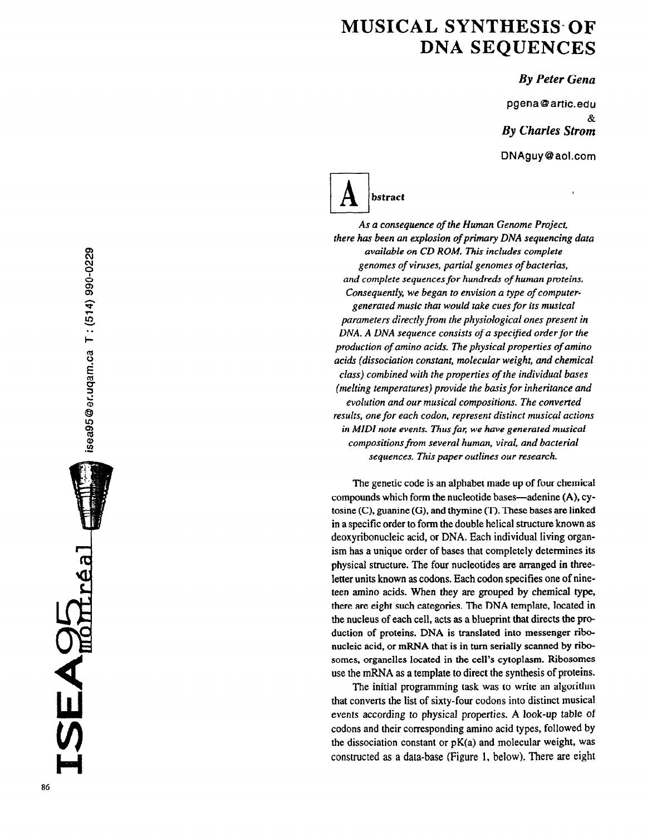## MUSICAL SYNTHESIS- OF DNA SEQUENCES

## By Peter Gena

pgena @ attic.edu & By Charles Strom DNAguy@aol.com



As a consequence of the Human Genome Project, there has been an explosion of primary DNA sequencing data available on CD ROM. This includes complete genomes of viruses, partial genomes of bacterias, and complete sequences for hundreds of human proteins. Consequently, we began to envision a type of computergenerated music that would take cues for its musical parameters directly from the physiological ones present in DNA. A DNA sequence consists of a specified order for the production of amino acids. The physical properties of amino acids (dissociation constant, molecular weight, and chemical class) combined with the properties of the individual bases (melting temperatures) provide the basis for inheritance and evolution and our musical compositions. The converted results, one for each codon, represent distinct musical actions in MIDI note events. Thus far, we have generated musical compositions from several human, viral, and bacterial sequences. This paper outlines our research.

The genetic code is an alphabet made up of four chemical compounds which form the nucleotide bases—adenine (A), cytosine (C), guanine (G), and thymine (T). These bases are linked in a specific order to form the double helical structure known as deoxyribonucleic acid, or DNA. Each individual living organism has a unique order of bases that completely determines its physical structure. The four nucleotides are arranged in threeletter units known as codons. Each codon specifies one of nineteen amino acids. When they are grouped by chemical type, there are eight such categories. The DNA template, located in the nucleus of each cell, acts as a blueprint that directs the pro duction of proteins. DNA is translated into messenger ribonucleic acid, or mRNA that is in turn serially scanned by ribosomes, organeiles located in the cell's cytoplasm. Ribosomes use the mRNA as a template to direct the synthesis of proteins.

The initial programming task was to write an algorithm that converts the list of sixty-four codons into distinct musical events according to physical properties. A look-up table of codons and their corresponding amino acid types, followed by the dissociation constant or  $pK(a)$  and molecular weight, was constructed as a data-base (Figure 1, below). There are eight

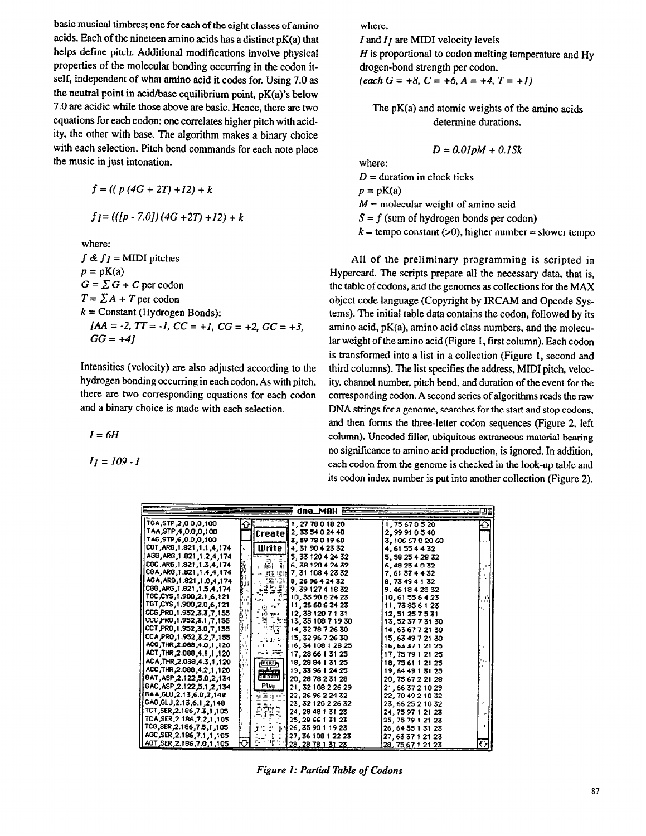basic musical timbres; one for each of the eight classes of amino acids. Each of the nineteen amino acids has a distinct  $pK(a)$  that helps define pitch. Additional modifications involve physical properties of the molecular bonding occurring in the codon itself, independent of what amino acid it codes for. Using 7.0 as the neutral point in acid/base equilibrium point, pK(a)'s below 7.0 are acidic while those above are basic. Hence, there are two equations for each codon: one correlates higher pitch with acidity, the other with base. The algorithm makes a binary choice with each selection. Pitch bend commands for each note place the music in just intonation.

$$
f = ((p (4G + 2T) + 12) + k
$$

 $f = (([p - 7.0])(4G + 2T) + 12) + k$ 

where:

 $f \& f \neq I$  = MIDI pitches  $p = pK(a)$  $G = \sum G + C$  per codon  $T = \sum A + T$  per codon  $k =$  Constant (Hydrogen Bonds):  $[AA=-2, TT=-I, CC=+I, CG=+2, GC=+3,$  $GG = +41$ 

Intensities (velocity) are also adjusted according to the hydrogen bonding occurring in each codon. As with pitch, there are two corresponding equations for each codon and a binary choice is made with each selection.

 $I=6H$ 

 $I_1 = 109 - I$ 

where:

I and  $I<sub>I</sub>$  are MIDI velocity levels  $H$  is proportional to codon melting temperature and Hy drogen-bond strength per codon.  $\text{(each }G = +8, C = +6, A = +4, T = +1\text{)}$ 

The pK(a) and atomic weights of the amino acids determine durations.

$$
D = 0.01 pM + 0.1 Sk
$$

where:

 $D =$  duration in clock ticks

 $p = pK(a)$ 

 $M$  = molecular weight of amino acid

 $S = f$  (sum of hydrogen bonds per codon)

 $k =$  tempo constant (>0), higher number = slower tempo

All of the preliminary programming is scripted in Hypercard. The scripts prepare all the necessary data, that is, the table of codons, and the genomes as collections for the MAX object code language (Copyright by IRCAM and Opcode Systems). The initial table data contains the codon, followed by its amino acid, pK(a), amino acid class numbers, and the molecular weight of the amino acid (Figure I, first column). Each codon is transformed into a list in a collection (Figure 1, second and third columns). The list specifies the address, MIDI pitch, velocity, channel number, pitch bend, and duration of the event for the corresponding codon. A second series of algorithms reads the raw DNA strings for a genome, searches for the start and stop codons. and then forms the three-letter codon sequences (Figure 2, left column). Uncoded filler, ubiquitous extraneous material bearing no significance to amino acid production, is ignored. In addition, each codon from the genome is checked in the look-up table and its codon index number is put into another collection (Figure 2).

| dna_MAH 整金                   |                             |                           |                   |                    |  |
|------------------------------|-----------------------------|---------------------------|-------------------|--------------------|--|
| TGA, STP 2,00,0,100          |                             | 1, 27 78 0 18 20          | 1,75670520        | $\hat{\mathbf{c}}$ |  |
| TAA, STP, 4, 0.0, 0, 100     |                             | Create∥2, 33 54 0 24 40   | 2.99910540        |                    |  |
| TAG, STP, 6, 0.0, 0, 100     |                             | 3,597801960               | 3, 106 67 0 28 60 |                    |  |
| CGT, ARG, 1.821, 1.1, 4, 174 |                             | Шrite    4, 31 90 4 23 32 | 4.61554432        |                    |  |
| AGG, ARG, 1.821, 1.2, 4, 174 |                             | 5, 33 120 4 24 32         | 5 58 25 4 28 32   |                    |  |
| CGC, ARG, 1.821, 1.3, 4, 174 | Ξŗ.                         | 6.38 120 4 24 32          | 6.49254032        |                    |  |
| CGA, ARG, 1.821, 1.4, 4, 174 | 山縣<br>中部                    | 聖骨7,31 108 4 23 32        | 7.61374432        |                    |  |
| AGA, ARG, 1.821, 1.0, 4, 174 | ШF                          | 8.269642432               | 8 73 49 4 1 32    |                    |  |
| CGG, ARG, 1.821, 1.5, 4, 174 |                             | 9.3912741832              | 9, 46 18 4 28 32  |                    |  |
| TGC,CYS,1.900,2.1,6,121      |                             | 10, 33 90 6 24 23         | 10.61556423       |                    |  |
| TGT,CYS,1.900,2.0,6,121      | Fo <sup>1</sup><br>99 H     | 11, 26 60 6 24 23         | 11, 73 85 6 1 23  |                    |  |
| CCG PRO 1.952, 3.3, 7, 155   | gan<br>Gru                  | 12,381207131              | 12, 51 25 7 5 31  |                    |  |
| CCC, PRO, 1.952, 3.1, 7, 155 |                             | [11] 13, 35 108 7 19 30   | 13, 52 37 7 31 30 |                    |  |
| CCT,PRO,1.952,3.0,7,155      | 관계급 기<br>距                  | 14.327872630              | 14,636772130      |                    |  |
| CCA PRO 1.952, 3.2, 7, 155   | 3년 3월 년                     | 15, 32 96 7 26 30         | 15, 63 49 7 21 30 |                    |  |
| ACG, THR, 2.088, 4.0, 1, 120 |                             | 16, 34 108 1 28 25        | 16, 63 37 1 21 25 |                    |  |
| ACT, THR, 2.088, 4.1, 1, 120 |                             | $= 17, 286613125$         | 17, 75 79 1 21 25 |                    |  |
| ACA, THR, 2.088, 4.3, 1, 120 | رهقتهم<br>Lut               | 18, 29 84 1 31 25         | 18, 75 61 1 21 25 |                    |  |
| ACC, THR, 2.088, 4.2, 1, 120 | <del>wêkirn</del><br>ليستسب | 19, 33 96 1 24 25         | 19.64 49 1 31 25  |                    |  |
| 0AT, ASP, 2.122, 5.0, 2, 134 | ы.                          | 20, 28 78 2 31 28         | 20, 75 67 2 21 28 |                    |  |
| GAC, ASP, 2.122, 5.1, 2, 134 | Play                        | 21, 32 108 2 26 29        | 21, 66 37 2 10 29 |                    |  |
| GAA, GLU, 2.13, 6.0, 2, 148  | TIT.                        | 22, 26 96 2 24 32         | 22, 78 49 2 10 32 |                    |  |
| 6AG, GLU, 2.13, 6.1, 2, 148  | 동권대의                        | 23.3212022632             | 23, 66 25 2 10 32 |                    |  |
| TCT, SER, 2.186, 7.3, 1, 105 | 常迁勤率                        | 24, 28 48 1 31 23         | 24, 75 97 1 21 23 |                    |  |
| TCA SER 2.186, 7.2, 1, 105   |                             | 25, 28 66 1 31 23         | 25, 75 79 1 21 23 |                    |  |
| TCG, SER, 2.186, 7.5, 1, 105 | ÷,<br>坚守<br>E               | 26, 35 90 1 19 23         | 26, 64 55 1 31 23 |                    |  |
| AGC, SER, 2.186, 7.1, 1, 105 | ჟ                           | 27, 36 108 1 22 23        | 27.633712123      |                    |  |
| AGT SER 2.186,7.0,1,105      |                             | 28.287813123              | 28.756712123      | Ф                  |  |

Figure 1: Partial Table of Codons